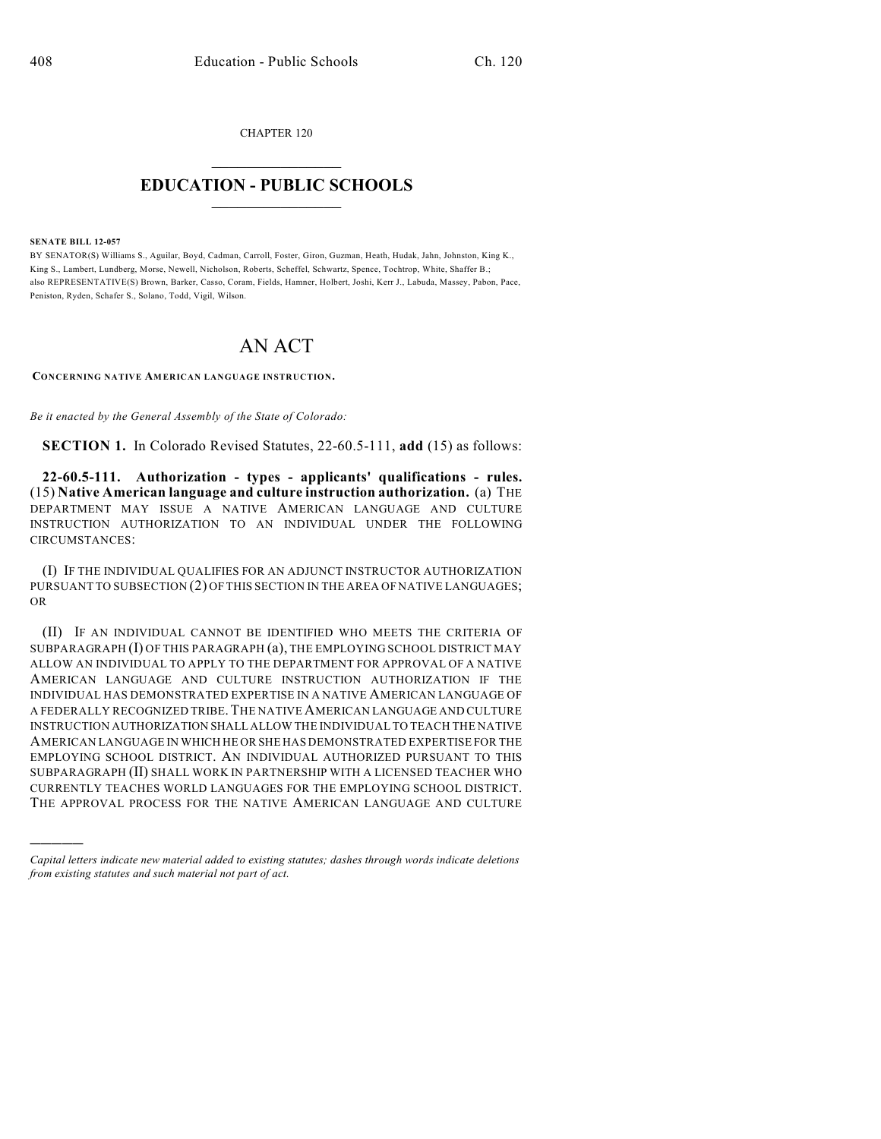CHAPTER 120  $\overline{\phantom{a}}$  . The set of the set of the set of the set of the set of the set of the set of the set of the set of the set of the set of the set of the set of the set of the set of the set of the set of the set of the set o

## **EDUCATION - PUBLIC SCHOOLS**  $\_$   $\_$   $\_$   $\_$   $\_$   $\_$   $\_$   $\_$   $\_$

**SENATE BILL 12-057**

)))))

BY SENATOR(S) Williams S., Aguilar, Boyd, Cadman, Carroll, Foster, Giron, Guzman, Heath, Hudak, Jahn, Johnston, King K., King S., Lambert, Lundberg, Morse, Newell, Nicholson, Roberts, Scheffel, Schwartz, Spence, Tochtrop, White, Shaffer B.; also REPRESENTATIVE(S) Brown, Barker, Casso, Coram, Fields, Hamner, Holbert, Joshi, Kerr J., Labuda, Massey, Pabon, Pace, Peniston, Ryden, Schafer S., Solano, Todd, Vigil, Wilson.

## AN ACT

**CONCERNING NATIVE AMERICAN LANGUAGE INSTRUCTION.**

*Be it enacted by the General Assembly of the State of Colorado:*

**SECTION 1.** In Colorado Revised Statutes, 22-60.5-111, **add** (15) as follows:

**22-60.5-111. Authorization - types - applicants' qualifications - rules.** (15) **Native American language and culture instruction authorization.** (a) THE DEPARTMENT MAY ISSUE A NATIVE AMERICAN LANGUAGE AND CULTURE INSTRUCTION AUTHORIZATION TO AN INDIVIDUAL UNDER THE FOLLOWING CIRCUMSTANCES:

(I) IF THE INDIVIDUAL QUALIFIES FOR AN ADJUNCT INSTRUCTOR AUTHORIZATION PURSUANT TO SUBSECTION (2) OF THIS SECTION IN THE AREA OF NATIVE LANGUAGES; OR

(II) IF AN INDIVIDUAL CANNOT BE IDENTIFIED WHO MEETS THE CRITERIA OF SUBPARAGRAPH (I) OF THIS PARAGRAPH (a), THE EMPLOYING SCHOOL DISTRICT MAY ALLOW AN INDIVIDUAL TO APPLY TO THE DEPARTMENT FOR APPROVAL OF A NATIVE AMERICAN LANGUAGE AND CULTURE INSTRUCTION AUTHORIZATION IF THE INDIVIDUAL HAS DEMONSTRATED EXPERTISE IN A NATIVE AMERICAN LANGUAGE OF A FEDERALLY RECOGNIZED TRIBE.THE NATIVEAMERICAN LANGUAGE AND CULTURE INSTRUCTION AUTHORIZATION SHALL ALLOW THE INDIVIDUAL TO TEACH THE NATIVE AMERICAN LANGUAGE IN WHICH HE OR SHE HAS DEMONSTRATED EXPERTISE FOR THE EMPLOYING SCHOOL DISTRICT. AN INDIVIDUAL AUTHORIZED PURSUANT TO THIS SUBPARAGRAPH (II) SHALL WORK IN PARTNERSHIP WITH A LICENSED TEACHER WHO CURRENTLY TEACHES WORLD LANGUAGES FOR THE EMPLOYING SCHOOL DISTRICT. THE APPROVAL PROCESS FOR THE NATIVE AMERICAN LANGUAGE AND CULTURE

*Capital letters indicate new material added to existing statutes; dashes through words indicate deletions from existing statutes and such material not part of act.*